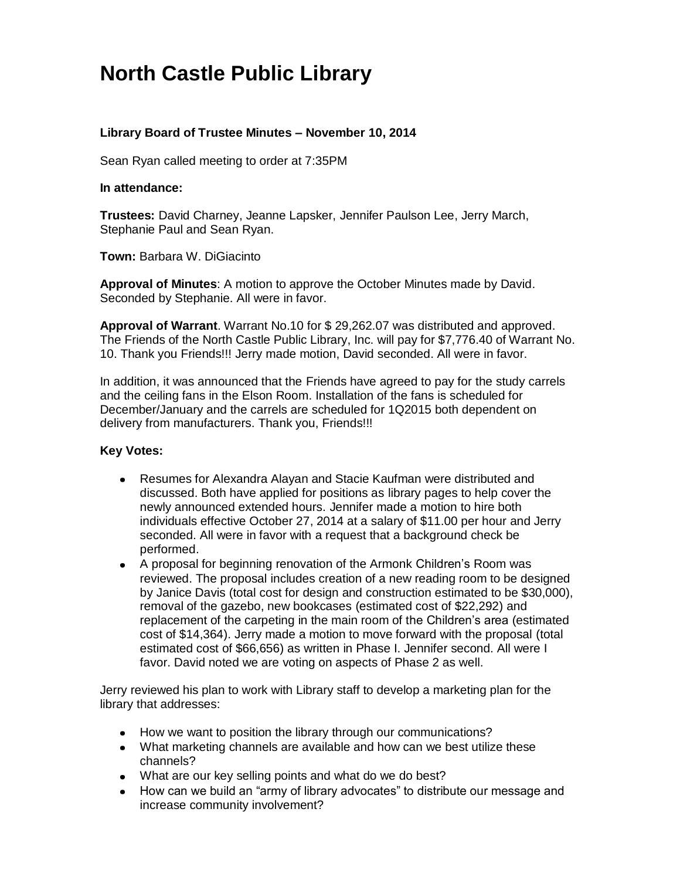## **North Castle Public Library**

## **Library Board of Trustee Minutes – November 10, 2014**

Sean Ryan called meeting to order at 7:35PM

## **In attendance:**

**Trustees:** David Charney, Jeanne Lapsker, Jennifer Paulson Lee, Jerry March, Stephanie Paul and Sean Ryan.

**Town:** [Barbara W. DiGiacinto](http://www.northcastleny.com/users/bdigiacinto/contact)

**Approval of Minutes**: A motion to approve the October Minutes made by David. Seconded by Stephanie. All were in favor.

**Approval of Warrant**. Warrant No.10 for \$ 29,262.07 was distributed and approved. The Friends of the North Castle Public Library, Inc. will pay for \$7,776.40 of Warrant No. 10. Thank you Friends!!! Jerry made motion, David seconded. All were in favor.

In addition, it was announced that the Friends have agreed to pay for the study carrels and the ceiling fans in the Elson Room. Installation of the fans is scheduled for December/January and the carrels are scheduled for 1Q2015 both dependent on delivery from manufacturers. Thank you, Friends!!!

## **Key Votes:**

- Resumes for Alexandra Alayan and Stacie Kaufman were distributed and discussed. Both have applied for positions as library pages to help cover the newly announced extended hours. Jennifer made a motion to hire both individuals effective October 27, 2014 at a salary of \$11.00 per hour and Jerry seconded. All were in favor with a request that a background check be performed.
- A proposal for beginning renovation of the Armonk Children's Room was reviewed. The proposal includes creation of a new reading room to be designed by Janice Davis (total cost for design and construction estimated to be \$30,000), removal of the gazebo, new bookcases (estimated cost of \$22,292) and replacement of the carpeting in the main room of the Children's area (estimated cost of \$14,364). Jerry made a motion to move forward with the proposal (total estimated cost of \$66,656) as written in Phase I. Jennifer second. All were I favor. David noted we are voting on aspects of Phase 2 as well.

Jerry reviewed his plan to work with Library staff to develop a marketing plan for the library that addresses:

- How we want to position the library through our communications?
- What marketing channels are available and how can we best utilize these channels?
- What are our key selling points and what do we do best?
- How can we build an "army of library advocates" to distribute our message and increase community involvement?